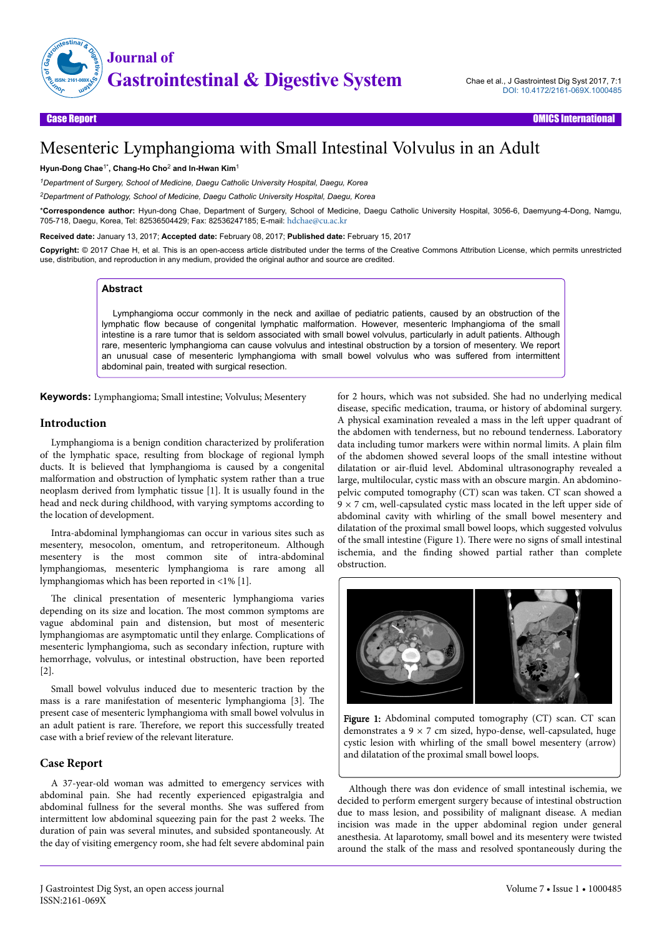

# Mesenteric Lymphangioma with Small Intestinal Volvulus in an Adult

#### **Hyun-Dong Chae**1\***, Chang-Ho Cho**<sup>2</sup>  **and In-Hwan Kim**<sup>1</sup>

*<sup>1</sup>Department of Surgery, School of Medicine, Daegu Catholic University Hospital, Daegu, Korea*

*<sup>2</sup>Department of Pathology, School of Medicine, Daegu Catholic University Hospital, Daegu, Korea*

\***Correspondence author:** Hyun-dong Chae, Department of Surgery, School of Medicine, Daegu Catholic University Hospital, 3056-6, Daemyung-4-Dong, Namgu, 705-718, Daegu, Korea, Tel: 82536504429; Fax: 82536247185; E-mail: [hdchae@cu.ac.kr](mailto:hdchae@cu.ac.kr)

**Received date:** January 13, 2017; **Accepted date:** February 08, 2017; **Published date:** February 15, 2017

**Copyright:** © 2017 Chae H, et al. This is an open-access article distributed under the terms of the Creative Commons Attribution License, which permits unrestricted use, distribution, and reproduction in any medium, provided the original author and source are credited.

## **Abstract**

Lymphangioma occur commonly in the neck and axillae of pediatric patients, caused by an obstruction of the lymphatic flow because of congenital lymphatic malformation. However, mesenteric lmphangioma of the small intestine is a rare tumor that is seldom associated with small bowel volvulus, particularly in adult patients. Although rare, mesenteric lymphangioma can cause volvulus and intestinal obstruction by a torsion of mesentery. We report an unusual case of mesenteric lymphangioma with small bowel volvulus who was suffered from intermittent abdominal pain, treated with surgical resection.

**Keywords:** Lymphangioma; Small intestine; Volvulus; Mesentery

#### **Introduction**

Lymphangioma is a benign condition characterized by proliferation of the lymphatic space, resulting from blockage of regional lymph ducts. It is believed that lymphangioma is caused by a congenital malformation and obstruction of lymphatic system rather than a true neoplasm derived from lymphatic tissue [1]. It is usually found in the head and neck during childhood, with varying symptoms according to the location of development.

Intra-abdominal lymphangiomas can occur in various sites such as mesentery, mesocolon, omentum, and retroperitoneum. Although mesentery is the most common site of intra-abdominal lymphangiomas, mesenteric lymphangioma is rare among all lymphangiomas which has been reported in <1% [1].

The clinical presentation of mesenteric lymphangioma varies depending on its size and location. Нe most common symptoms are vague abdominal pain and distension, but most of mesenteric lymphangiomas are asymptomatic until they enlarge. Complications of mesenteric lymphangioma, such as secondary infection, rupture with hemorrhage, volvulus, or intestinal obstruction, have been reported [2].

Small bowel volvulus induced due to mesenteric traction by the mass is a rare manifestation of mesenteric lymphangioma [3]. Нe present case of mesenteric lymphangioma with small bowel volvulus in an adult patient is rare. Нerefore, we report this successfully treated case with a brief review of the relevant literature.

#### **Case Report**

A 37-year-old woman was admitted to emergency services with abdominal pain. She had recently experienced epigastralgia and abdominal fullness for the several months. She was suffered from intermittent low abdominal squeezing pain for the past 2 weeks. Нe duration of pain was several minutes, and subsided spontaneously. At the day of visiting emergency room, she had felt severe abdominal pain

for 2 hours, which was not subsided. She had no underlying medical disease, specific medication, trauma, or history of abdominal surgery. A physical examination revealed a mass in the left upper quadrant of the abdomen with tenderness, but no rebound tenderness. Laboratory data including tumor markers were within normal limits. A plain film of the abdomen showed several loops of the small intestine without dilatation or air-fluid level. Abdominal ultrasonography revealed a large, multilocular, cystic mass with an obscure margin. An abdominopelvic computed tomography (CT) scan was taken. CT scan showed a  $9 \times 7$  cm, well-capsulated cystic mass located in the left upper side of abdominal cavity with whirling of the small bowel mesentery and dilatation of the proximal small bowel loops, which suggested volvulus of the small intestine (Figure 1). Нere were no signs of small intestinal ischemia, and the finding showed partial rather than complete obstruction.



Figure 1: Abdominal computed tomography (CT) scan. CT scan demonstrates a  $9 \times 7$  cm sized, hypo-dense, well-capsulated, huge cystic lesion with whirling of the small bowel mesentery (arrow) and dilatation of the proximal small bowel loops.

Although there was don evidence of small intestinal ischemia, we decided to perform emergent surgery because of intestinal obstruction due to mass lesion, and possibility of malignant disease. A median incision was made in the upper abdominal region under general anesthesia. At laparotomy, small bowel and its mesentery were twisted around the stalk of the mass and resolved spontaneously during the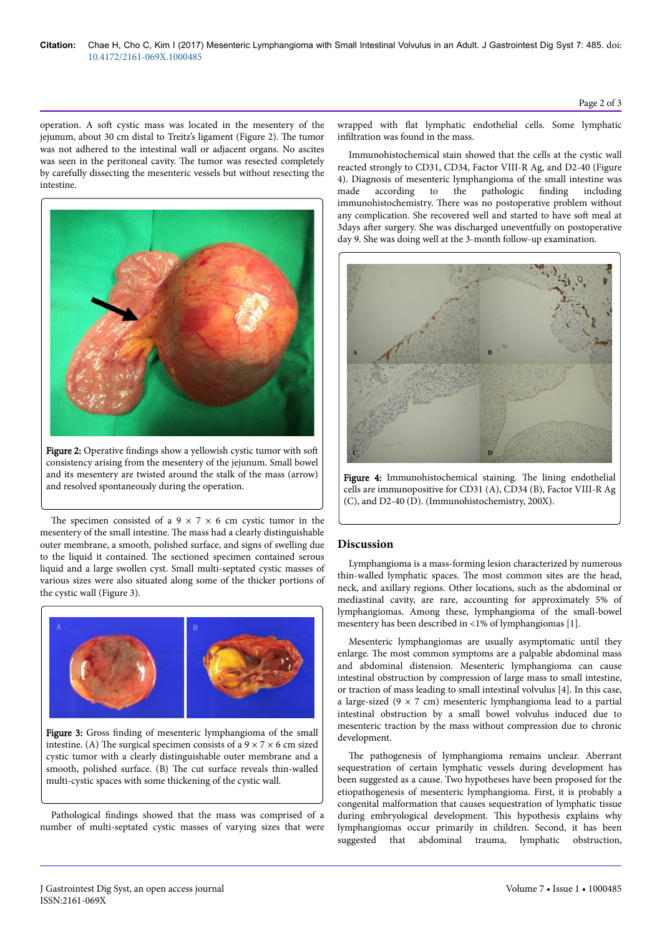operation. A soft cystic mass was located in the mesentery of the jejunum, about 30 cm distal to Treitz's ligament (Figure 2). Нe tumor was not adhered to the intestinal wall or adjacent organs. No ascites was seen in the peritoneal cavity. Нe tumor was resected completely by carefully dissecting the mesenteric vessels but without resecting the intestine.



Figure 2: Operative findings show a yellowish cystic tumor with soft consistency arising from the mesentery of the jejunum. Small bowel and its mesentery are twisted around the stalk of the mass (arrow) and resolved spontaneously during the operation.

The specimen consisted of a  $9 \times 7 \times 6$  cm cystic tumor in the mesentery of the small intestine. Нe mass had a clearly distinguishable outer membrane, a smooth, polished surface, and signs of swelling due to the liquid it contained. Нe sectioned specimen contained serous liquid and a large swollen cyst. Small multi-septated cystic masses of various sizes were also situated along some of the thicker portions of the cystic wall (Figure 3).



Figure 3: Gross finding of mesenteric lymphangioma of the small intestine. (A) The surgical specimen consists of a  $9 \times 7 \times 6$  cm sized cystic tumor with a clearly distinguishable outer membrane and a smooth, polished surface. (B) The cut surface reveals thin-walled multi-cystic spaces with some thickening of the cystic wall.

Pathological findings showed that the mass was comprised of a number of multi-septated cystic masses of varying sizes that were wrapped with flat lymphatic endothelial cells. Some lymphatic infiltration was found in the mass.

Immunohistochemical stain showed that the cells at the cystic wall reacted strongly to CD31, CD34, Factor VIII-R Ag, and D2-40 (Figure 4). Diagnosis of mesenteric lymphangioma of the small intestine was made according to the pathologic finding including made according to the pathologic finding including immunohistochemistry. Нere was no postoperative problem without any complication. She recovered well and started to have soft meal at 3days after surgery. She was discharged uneventfully on postoperative day 9. She was doing well at the 3-month follow-up examination.



Figure 4: Immunohistochemical staining. Нe lining endothelial cells are immunopositive for CD31 (A), CD34 (B), Factor VIII-R Ag (C), and D2-40 (D). (Immunohistochemistry, 200X).

# **Discussion**

Lymphangioma is a mass-forming lesion characterized by numerous thin-walled lymphatic spaces. Нe most common sites are the head, neck, and axillary regions. Other locations, such as the abdominal or mediastinal cavity, are rare, accounting for approximately 5% of lymphangiomas. Among these, lymphangioma of the small-bowel mesentery has been described in <1% of lymphangiomas [1].

Mesenteric lymphangiomas are usually asymptomatic until they enlarge. Нe most common symptoms are a palpable abdominal mass and abdominal distension. Mesenteric lymphangioma can cause intestinal obstruction by compression of large mass to small intestine, or traction of mass leading to small intestinal volvulus [4]. In this case, a large-sized ( $9 \times 7$  cm) mesenteric lymphangioma lead to a partial intestinal obstruction by a small bowel volvulus induced due to mesenteric traction by the mass without compression due to chronic development.

The pathogenesis of lymphangioma remains unclear. Aberrant sequestration of certain lymphatic vessels during development has been suggested as a cause. Two hypotheses have been proposed for the etiopathogenesis of mesenteric lymphangioma. First, it is probably a congenital malformation that causes sequestration of lymphatic tissue during embryological development. Нis hypothesis explains why lymphangiomas occur primarily in children. Second, it has been suggested that abdominal trauma, lymphatic obstruction,